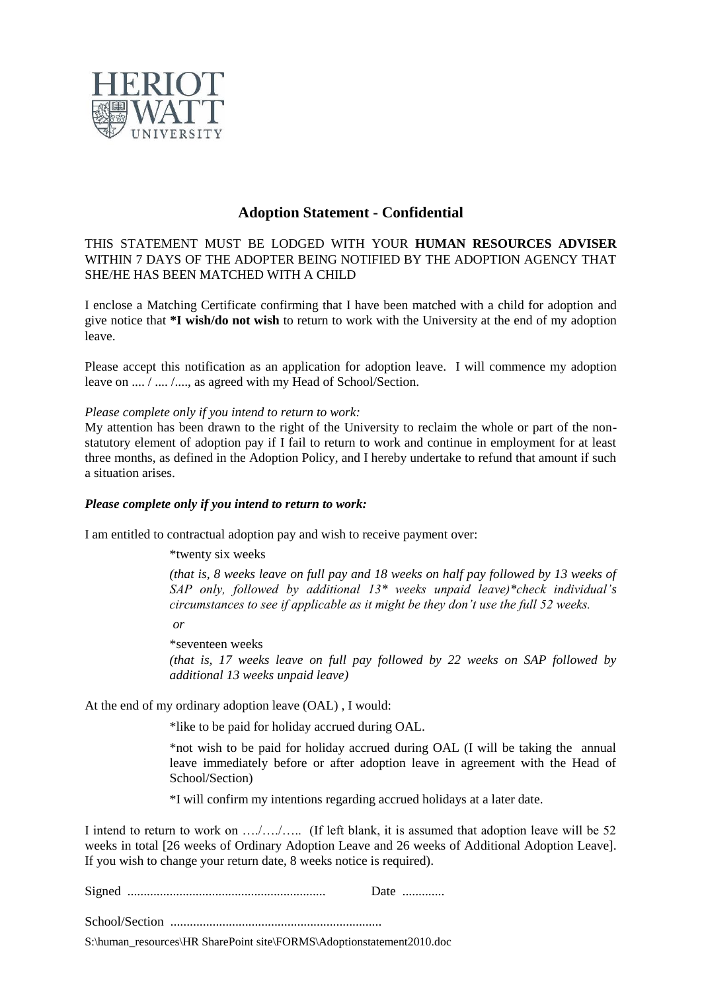

## **Adoption Statement - Confidential**

THIS STATEMENT MUST BE LODGED WITH YOUR **HUMAN RESOURCES ADVISER** WITHIN 7 DAYS OF THE ADOPTER BEING NOTIFIED BY THE ADOPTION AGENCY THAT SHE/HE HAS BEEN MATCHED WITH A CHILD

I enclose a Matching Certificate confirming that I have been matched with a child for adoption and give notice that **\*I wish/do not wish** to return to work with the University at the end of my adoption leave.

Please accept this notification as an application for adoption leave. I will commence my adoption leave on  $\ldots$ ,  $\ldots$ ,  $\ldots$ , as agreed with my Head of School/Section.

*Please complete only if you intend to return to work:*

My attention has been drawn to the right of the University to reclaim the whole or part of the nonstatutory element of adoption pay if I fail to return to work and continue in employment for at least three months, as defined in the Adoption Policy, and I hereby undertake to refund that amount if such a situation arises.

## *Please complete only if you intend to return to work:*

I am entitled to contractual adoption pay and wish to receive payment over:

\*twenty six weeks

*(that is, 8 weeks leave on full pay and 18 weeks on half pay followed by 13 weeks of SAP only, followed by additional 13\* weeks unpaid leave)\*check individual's circumstances to see if applicable as it might be they don't use the full 52 weeks.*

*or*

\*seventeen weeks *(that is, 17 weeks leave on full pay followed by 22 weeks on SAP followed by additional 13 weeks unpaid leave)*

At the end of my ordinary adoption leave (OAL) , I would:

\*like to be paid for holiday accrued during OAL.

\*not wish to be paid for holiday accrued during OAL (I will be taking the annual leave immediately before or after adoption leave in agreement with the Head of School/Section)

\*I will confirm my intentions regarding accrued holidays at a later date.

I intend to return to work on …./…./….. (If left blank, it is assumed that adoption leave will be 52 weeks in total [26 weeks of Ordinary Adoption Leave and 26 weeks of Additional Adoption Leave]. If you wish to change your return date, 8 weeks notice is required).

| Date |  |  |  |  |
|------|--|--|--|--|
|------|--|--|--|--|

School/Section .................................................................

S:\human\_resources\HR SharePoint site\FORMS\Adoptionstatement2010.doc